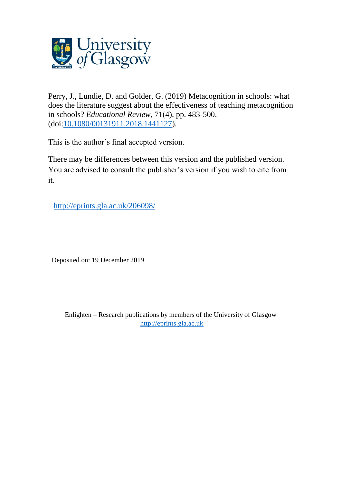

Perry, J., Lundie, D. and Golder, G. (2019) Metacognition in schools: what does the literature suggest about the effectiveness of teaching metacognition in schools? *Educational Review*, 71(4), pp. 483-500. (doi[:10.1080/00131911.2018.1441127\)](http://dx.doi.org/10.1080/00131911.2018.1441127).

This is the author's final accepted version.

There may be differences between this version and the published version. You are advised to consult the publisher's version if you wish to cite from it.

<http://eprints.gla.ac.uk/206098/>

Deposited on: 19 December 2019

Enlighten – Research publications by members of the University of Glasgow [http://eprints.gla.ac.uk](http://eprints.gla.ac.uk/)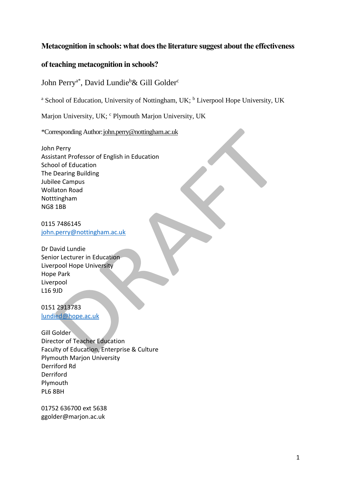# **Metacognition in schools: what does the literature suggest about the effectiveness**

# **of teaching metacognition in schools?**

John Perry<sup>a\*</sup>, David Lundie<sup>b</sup>& Gill Golder<sup>c</sup>

<sup>a</sup> School of Education, University of Nottingham, UK;  $<sup>b</sup>$  Liverpool Hope University, UK</sup>

Marjon University, UK; <sup>c</sup> Plymouth Marjon University, UK

\*Corresponding Author[:john.perry@nottingham.ac.uk](mailto:john.perry@nottingham.ac.uk)

John Perry Assistant Professor of English in Education School of Education The Dearing Building Jubilee Campus Wollaton Road Notttingham NG8 1BB

0115 7486145 [john.perry@nottingham.ac.uk](mailto:john.perry@nottingham.ac.uk)

Dr David Lundie Senior Lecturer in Education Liverpool Hope University Hope Park Liverpool L16 9JD

0151 2913783 [lundied@hope.ac.uk](mailto:lundied@hope.ac.uk)

Gill Golder Director of Teacher Education Faculty of Education, Enterprise & Culture Plymouth Marjon University Derriford Rd Derriford Plymouth PL6 8BH

01752 636700 ext 5638 ggolder@marjon.ac.uk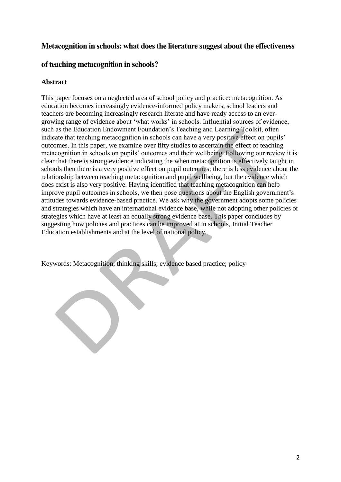# **Metacognition in schools: what does the literature suggest about the effectiveness**

# **of teaching metacognition in schools?**

# **Abstract**

This paper focuses on a neglected area of school policy and practice: metacognition. As education becomes increasingly evidence-informed policy makers, school leaders and teachers are becoming increasingly research literate and have ready access to an evergrowing range of evidence about 'what works' in schools. Influential sources of evidence, such as the Education Endowment Foundation's Teaching and Learning Toolkit, often indicate that teaching metacognition in schools can have a very positive effect on pupils' outcomes. In this paper, we examine over fifty studies to ascertain the effect of teaching metacognition in schools on pupils' outcomes and their wellbeing. Following our review it is clear that there is strong evidence indicating the when metacognition is effectively taught in schools then there is a very positive effect on pupil outcomes; there is less evidence about the relationship between teaching metacognition and pupil wellbeing, but the evidence which does exist is also very positive. Having identified that teaching metacognition can help improve pupil outcomes in schools, we then pose questions about the English government's attitudes towards evidence-based practice. We ask why the government adopts some policies and strategies which have an international evidence base, while not adopting other policies or strategies which have at least an equally strong evidence base. This paper concludes by suggesting how policies and practices can be improved at in schools, Initial Teacher Education establishments and at the level of national policy.

Keywords: Metacognition; thinking skills; evidence based practice; policy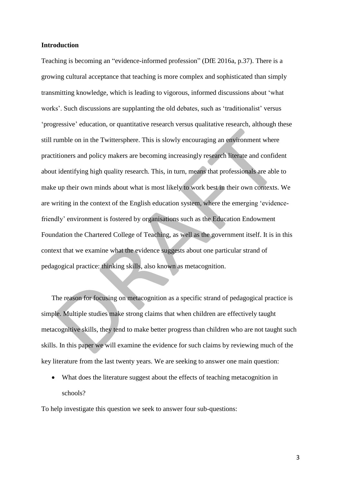### **Introduction**

Teaching is becoming an "evidence-informed profession" (DfE 2016a, p.37). There is a growing cultural acceptance that teaching is more complex and sophisticated than simply transmitting knowledge, which is leading to vigorous, informed discussions about 'what works'. Such discussions are supplanting the old debates, such as 'traditionalist' versus 'progressive' education, or quantitative research versus qualitative research, although these still rumble on in the Twittersphere. This is slowly encouraging an environment where practitioners and policy makers are becoming increasingly research literate and confident about identifying high quality research. This, in turn, means that professionals are able to make up their own minds about what is most likely to work best in their own contexts. We are writing in the context of the English education system, where the emerging 'evidencefriendly' environment is fostered by organisations such as the Education Endowment Foundation the Chartered College of Teaching, as well as the government itself. It is in this context that we examine what the evidence suggests about one particular strand of pedagogical practice: thinking skills, also known as metacognition.

The reason for focusing on metacognition as a specific strand of pedagogical practice is simple. Multiple studies make strong claims that when children are effectively taught metacognitive skills, they tend to make better progress than children who are not taught such skills. In this paper we will examine the evidence for such claims by reviewing much of the key literature from the last twenty years. We are seeking to answer one main question:

 What does the literature suggest about the effects of teaching metacognition in schools?

To help investigate this question we seek to answer four sub-questions: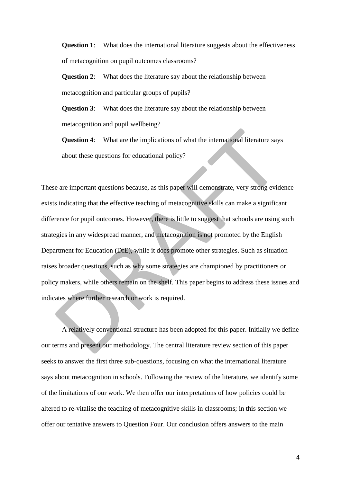**Question 1:** What does the international literature suggests about the effectiveness of metacognition on pupil outcomes classrooms?

**Question 2**: What does the literature say about the relationship between metacognition and particular groups of pupils?

**Question 3**: What does the literature say about the relationship between metacognition and pupil wellbeing?

**Question 4:** What are the implications of what the international literature says about these questions for educational policy?

These are important questions because, as this paper will demonstrate, very strong evidence exists indicating that the effective teaching of metacognitive skills can make a significant difference for pupil outcomes. However, there is little to suggest that schools are using such strategies in any widespread manner, and metacognition is not promoted by the English Department for Education (DfE), while it does promote other strategies. Such as situation raises broader questions, such as why some strategies are championed by practitioners or policy makers, while others remain on the shelf. This paper begins to address these issues and indicates where further research or work is required.

A relatively conventional structure has been adopted for this paper. Initially we define our terms and present our methodology. The central literature review section of this paper seeks to answer the first three sub-questions, focusing on what the international literature says about metacognition in schools. Following the review of the literature, we identify some of the limitations of our work. We then offer our interpretations of how policies could be altered to re-vitalise the teaching of metacognitive skills in classrooms; in this section we offer our tentative answers to Question Four. Our conclusion offers answers to the main

4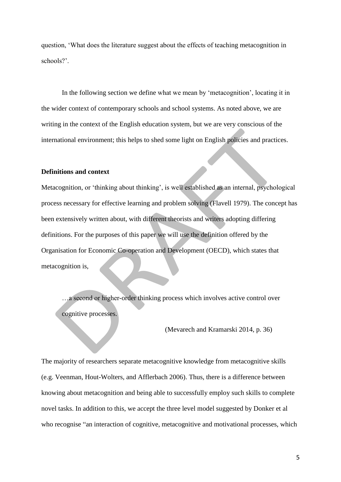question, 'What does the literature suggest about the effects of teaching metacognition in schools?'.

In the following section we define what we mean by 'metacognition', locating it in the wider context of contemporary schools and school systems. As noted above, we are writing in the context of the English education system, but we are very conscious of the international environment; this helps to shed some light on English policies and practices.

### **Definitions and context**

Metacognition, or 'thinking about thinking', is well established as an internal, psychological process necessary for effective learning and problem solving (Flavell 1979). The concept has been extensively written about, with different theorists and writers adopting differing definitions. For the purposes of this paper we will use the definition offered by the Organisation for Economic Co-operation and Development (OECD), which states that metacognition is,

…a second or higher-order thinking process which involves active control over cognitive processes.

(Mevarech and Kramarski 2014, p. 36)

The majority of researchers separate metacognitive knowledge from metacognitive skills (e.g. Veenman, Hout-Wolters, and Afflerbach 2006). Thus, there is a difference between knowing about metacognition and being able to successfully employ such skills to complete novel tasks. In addition to this, we accept the three level model suggested by Donker et al who recognise "an interaction of cognitive, metacognitive and motivational processes, which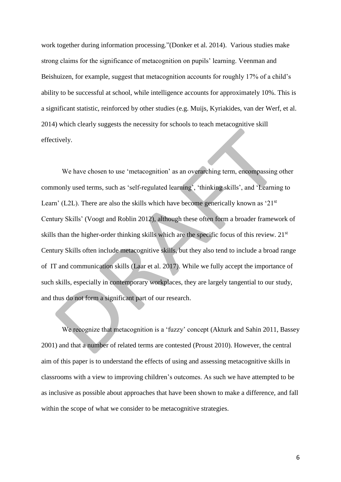work together during information processing."(Donker et al. 2014). Various studies make strong claims for the significance of metacognition on pupils' learning. Veenman and Beishuizen, for example, suggest that metacognition accounts for roughly 17% of a child's ability to be successful at school, while intelligence accounts for approximately 10%. This is a significant statistic, reinforced by other studies (e.g. Muijs, Kyriakides, van der Werf, et al. 2014) which clearly suggests the necessity for schools to teach metacognitive skill effectively.

We have chosen to use 'metacognition' as an overarching term, encompassing other commonly used terms, such as 'self-regulated learning', 'thinking skills', and 'Learning to Learn' (L2L). There are also the skills which have become generically known as  $21<sup>st</sup>$ Century Skills' (Voogt and Roblin 2012), although these often form a broader framework of skills than the higher-order thinking skills which are the specific focus of this review. 21<sup>st</sup> Century Skills often include metacognitive skills, but they also tend to include a broad range of IT and communication skills (Laar et al. 2017). While we fully accept the importance of such skills, especially in contemporary workplaces, they are largely tangential to our study, and thus do not form a significant part of our research.

We recognize that metacognition is a 'fuzzy' concept (Akturk and Sahin 2011, Bassey 2001) and that a number of related terms are contested (Proust 2010). However, the central aim of this paper is to understand the effects of using and assessing metacognitive skills in classrooms with a view to improving children's outcomes. As such we have attempted to be as inclusive as possible about approaches that have been shown to make a difference, and fall within the scope of what we consider to be metacognitive strategies.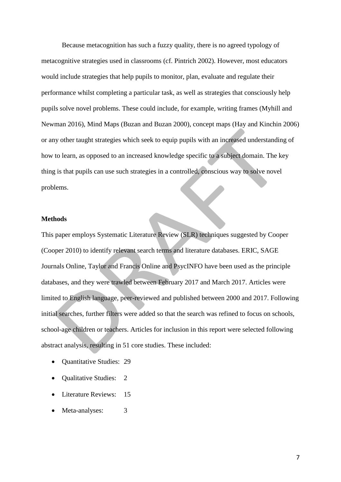Because metacognition has such a fuzzy quality, there is no agreed typology of metacognitive strategies used in classrooms (cf. Pintrich 2002). However, most educators would include strategies that help pupils to monitor, plan, evaluate and regulate their performance whilst completing a particular task, as well as strategies that consciously help pupils solve novel problems. These could include, for example, writing frames (Myhill and Newman 2016), Mind Maps (Buzan and Buzan 2000), concept maps (Hay and Kinchin 2006) or any other taught strategies which seek to equip pupils with an increased understanding of how to learn, as opposed to an increased knowledge specific to a subject domain. The key thing is that pupils can use such strategies in a controlled, conscious way to solve novel problems.

## **Methods**

This paper employs Systematic Literature Review (SLR) techniques suggested by Cooper (Cooper 2010) to identify relevant search terms and literature databases. ERIC, SAGE Journals Online, Taylor and Francis Online and PsycINFO have been used as the principle databases, and they were trawled between February 2017 and March 2017. Articles were limited to English language, peer-reviewed and published between 2000 and 2017. Following initial searches, further filters were added so that the search was refined to focus on schools, school-age children or teachers. Articles for inclusion in this report were selected following abstract analysis, resulting in 51 core studies. These included:

- Quantitative Studies: 29
- Qualitative Studies: 2
- Literature Reviews: 15
- Meta-analyses: 3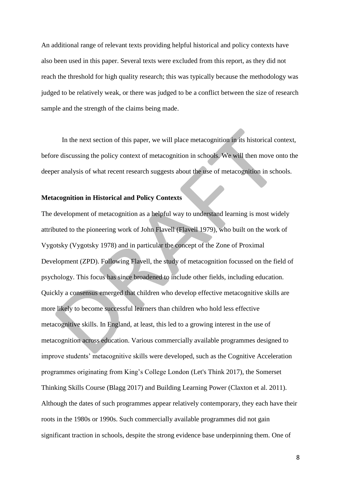An additional range of relevant texts providing helpful historical and policy contexts have also been used in this paper. Several texts were excluded from this report, as they did not reach the threshold for high quality research; this was typically because the methodology was judged to be relatively weak, or there was judged to be a conflict between the size of research sample and the strength of the claims being made.

In the next section of this paper, we will place metacognition in its historical context, before discussing the policy context of metacognition in schools. We will then move onto the deeper analysis of what recent research suggests about the use of metacognition in schools.

#### **Metacognition in Historical and Policy Contexts**

The development of metacognition as a helpful way to understand learning is most widely attributed to the pioneering work of John Flavell (Flavell 1979), who built on the work of Vygotsky (Vygotsky 1978) and in particular the concept of the Zone of Proximal Development (ZPD). Following Flavell, the study of metacognition focussed on the field of psychology. This focus has since broadened to include other fields, including education. Quickly a consensus emerged that children who develop effective metacognitive skills are more likely to become successful learners than children who hold less effective metacognitive skills. In England, at least, this led to a growing interest in the use of metacognition across education. Various commercially available programmes designed to improve students' metacognitive skills were developed, such as the Cognitive Acceleration programmes originating from King's College London (Let's Think 2017), the Somerset Thinking Skills Course (Blagg 2017) and Building Learning Power (Claxton et al. 2011). Although the dates of such programmes appear relatively contemporary, they each have their roots in the 1980s or 1990s. Such commercially available programmes did not gain significant traction in schools, despite the strong evidence base underpinning them. One of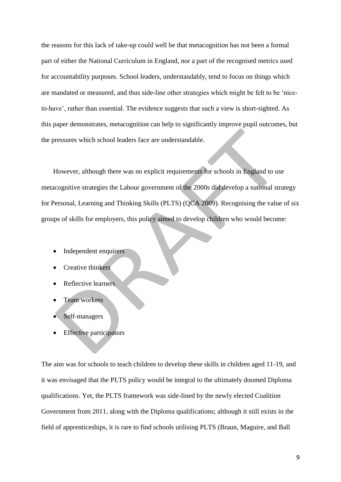the reasons for this lack of take-up could well be that metacognition has not been a formal part of either the National Curriculum in England, nor a part of the recognised metrics used for accountability purposes. School leaders, understandably, tend to focus on things which are mandated or measured, and thus side-line other strategies which might be felt to be 'niceto-have', rather than essential. The evidence suggests that such a view is short-sighted. As this paper demonstrates, metacognition can help to significantly improve pupil outcomes, but the pressures which school leaders face are understandable.

However, although there was no explicit requirements for schools in England to use metacognitive strategies the Labour government of the 2000s did develop a national strategy for Personal, Learning and Thinking Skills (PLTS) (QCA 2009). Recognising the value of six groups of skills for employers, this policy aimed to develop children who would become:

- Independent enquirers
- Creative thinkers
- Reflective learners
- Team workers
- Self-managers
- Effective participators

The aim was for schools to teach children to develop these skills in children aged 11-19, and it was envisaged that the PLTS policy would be integral to the ultimately doomed Diploma qualifications. Yet, the PLTS framework was side-lined by the newly elected Coalition Government from 2011, along with the Diploma qualifications; although it still exists in the field of apprenticeships, it is rare to find schools utilising PLTS (Braun, Maguire, and Ball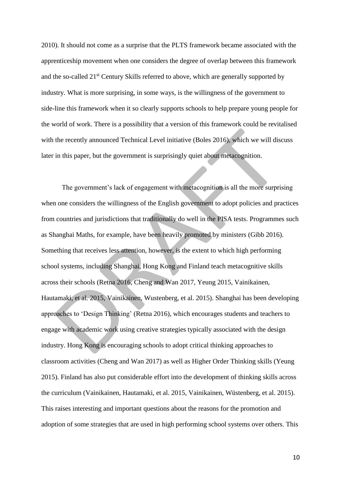2010). It should not come as a surprise that the PLTS framework became associated with the apprenticeship movement when one considers the degree of overlap between this framework and the so-called 21<sup>st</sup> Century Skills referred to above, which are generally supported by industry. What is more surprising, in some ways, is the willingness of the government to side-line this framework when it so clearly supports schools to help prepare young people for the world of work. There is a possibility that a version of this framework could be revitalised with the recently announced Technical Level initiative (Boles 2016), which we will discuss later in this paper, but the government is surprisingly quiet about metacognition.

The government's lack of engagement with metacognition is all the more surprising when one considers the willingness of the English government to adopt policies and practices from countries and jurisdictions that traditionally do well in the PISA tests. Programmes such as Shanghai Maths, for example, have been heavily promoted by ministers (Gibb 2016). Something that receives less attention, however, is the extent to which high performing school systems, including Shanghai, Hong Kong and Finland teach metacognitive skills across their schools (Retna 2016, Cheng and Wan 2017, Yeung 2015, Vainikainen, Hautamaki, et al. 2015, Vainikainen, Wustenberg, et al. 2015). Shanghai has been developing approaches to 'Design Thinking' (Retna 2016), which encourages students and teachers to engage with academic work using creative strategies typically associated with the design industry. Hong Kong is encouraging schools to adopt critical thinking approaches to classroom activities (Cheng and Wan 2017) as well as Higher Order Thinking skills (Yeung 2015). Finland has also put considerable effort into the development of thinking skills across the curriculum (Vainikainen, Hautamaki, et al. 2015, Vainikainen, Wüstenberg, et al. 2015). This raises interesting and important questions about the reasons for the promotion and adoption of some strategies that are used in high performing school systems over others. This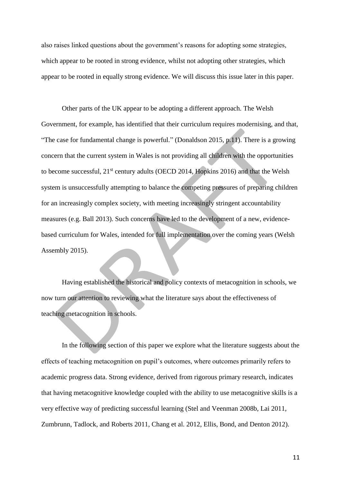also raises linked questions about the government's reasons for adopting some strategies, which appear to be rooted in strong evidence, whilst not adopting other strategies, which appear to be rooted in equally strong evidence. We will discuss this issue later in this paper.

Other parts of the UK appear to be adopting a different approach. The Welsh Government, for example, has identified that their curriculum requires modernising, and that, "The case for fundamental change is powerful." (Donaldson 2015, p.11). There is a growing concern that the current system in Wales is not providing all children with the opportunities to become successful, 21<sup>st</sup> century adults (OECD 2014, Hopkins 2016) and that the Welsh system is unsuccessfully attempting to balance the competing pressures of preparing children for an increasingly complex society, with meeting increasingly stringent accountability measures (e.g. Ball 2013). Such concerns have led to the development of a new, evidencebased curriculum for Wales, intended for full implementation over the coming years (Welsh Assembly 2015).

Having established the historical and policy contexts of metacognition in schools, we now turn our attention to reviewing what the literature says about the effectiveness of teaching metacognition in schools.

In the following section of this paper we explore what the literature suggests about the effects of teaching metacognition on pupil's outcomes, where outcomes primarily refers to academic progress data. Strong evidence, derived from rigorous primary research, indicates that having metacognitive knowledge coupled with the ability to use metacognitive skills is a very effective way of predicting successful learning (Stel and Veenman 2008b, Lai 2011, Zumbrunn, Tadlock, and Roberts 2011, Chang et al. 2012, Ellis, Bond, and Denton 2012).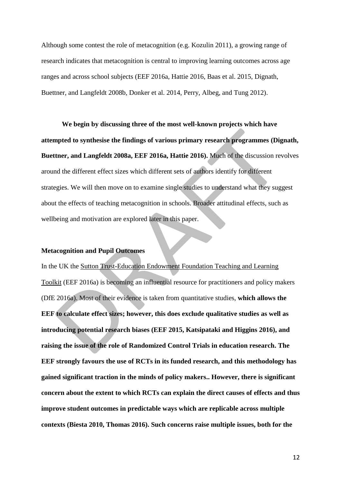Although some contest the role of metacognition (e.g. Kozulin 2011), a growing range of research indicates that metacognition is central to improving learning outcomes across age ranges and across school subjects (EEF 2016a, Hattie 2016, Baas et al. 2015, Dignath, Buettner, and Langfeldt 2008b, Donker et al. 2014, Perry, Albeg, and Tung 2012).

**We begin by discussing three of the most well-known projects which have attempted to synthesise the findings of various primary research programmes (Dignath, Buettner, and Langfeldt 2008a, EEF 2016a, Hattie 2016).** Much of the discussion revolves around the different effect sizes which different sets of authors identify for different strategies. We will then move on to examine single studies to understand what they suggest about the effects of teaching metacognition in schools. Broader attitudinal effects, such as wellbeing and motivation are explored later in this paper.

#### **Metacognition and Pupil Outcomes**

In the UK the Sutton Trust-Education Endowment Foundation Teaching and Learning Toolkit (EEF 2016a) is becoming an influential resource for practitioners and policy makers (DfE 2016a). Most of their evidence is taken from quantitative studies, **which allows the EEF to calculate effect sizes; however, this does exclude qualitative studies as well as introducing potential research biases (EEF 2015, Katsipataki and Higgins 2016), and raising the issue of the role of Randomized Control Trials in education research. The EEF strongly favours the use of RCTs in its funded research, and this methodology has gained significant traction in the minds of policy makers.. However, there is significant concern about the extent to which RCTs can explain the direct causes of effects and thus improve student outcomes in predictable ways which are replicable across multiple contexts (Biesta 2010, Thomas 2016). Such concerns raise multiple issues, both for the**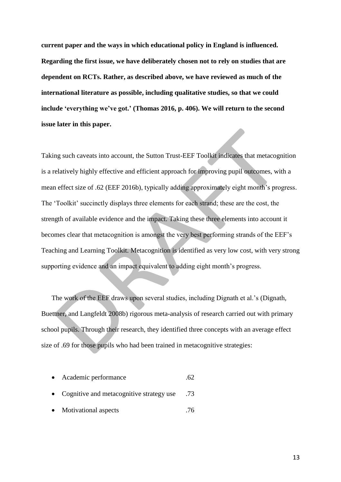**current paper and the ways in which educational policy in England is influenced. Regarding the first issue, we have deliberately chosen not to rely on studies that are dependent on RCTs. Rather, as described above, we have reviewed as much of the international literature as possible, including qualitative studies, so that we could include 'everything we've got.' (Thomas 2016, p. 406). We will return to the second issue later in this paper.** 

Taking such caveats into account, the Sutton Trust-EEF Toolkit indicates that metacognition is a relatively highly effective and efficient approach for improving pupil outcomes, with a mean effect size of .62 (EEF 2016b), typically adding approximately eight month's progress. The 'Toolkit' succinctly displays three elements for each strand; these are the cost, the strength of available evidence and the impact. Taking these three elements into account it becomes clear that metacognition is amongst the very best performing strands of the EEF's Teaching and Learning Toolkit. Metacognition is identified as very low cost, with very strong supporting evidence and an impact equivalent to adding eight month's progress.

The work of the EEF draws upon several studies, including Dignath et al.'s (Dignath, Buettner, and Langfeldt 2008b) rigorous meta-analysis of research carried out with primary school pupils. Through their research, they identified three concepts with an average effect size of .69 for those pupils who had been trained in metacognitive strategies:

|  |  | Academic performance |  |  |
|--|--|----------------------|--|--|
|--|--|----------------------|--|--|

- Cognitive and metacognitive strategy use .73
- Motivational aspects .76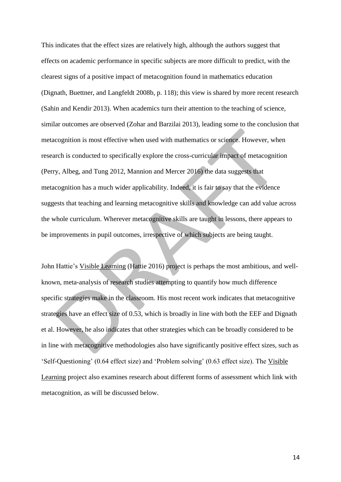This indicates that the effect sizes are relatively high, although the authors suggest that effects on academic performance in specific subjects are more difficult to predict, with the clearest signs of a positive impact of metacognition found in mathematics education (Dignath, Buettner, and Langfeldt 2008b, p. 118); this view is shared by more recent research (Sahin and Kendir 2013). When academics turn their attention to the teaching of science, similar outcomes are observed (Zohar and Barzilai 2013), leading some to the conclusion that metacognition is most effective when used with mathematics or science. However, when research is conducted to specifically explore the cross-curricular impact of metacognition (Perry, Albeg, and Tung 2012, Mannion and Mercer 2016) the data suggests that metacognition has a much wider applicability. Indeed, it is fair to say that the evidence suggests that teaching and learning metacognitive skills and knowledge can add value across the whole curriculum. Wherever metacognitive skills are taught in lessons, there appears to be improvements in pupil outcomes, irrespective of which subjects are being taught.

John Hattie's Visible Learning (Hattie 2016) project is perhaps the most ambitious, and wellknown, meta-analysis of research studies attempting to quantify how much difference specific strategies make in the classroom. His most recent work indicates that metacognitive strategies have an effect size of 0.53, which is broadly in line with both the EEF and Dignath et al. However, he also indicates that other strategies which can be broadly considered to be in line with metacognitive methodologies also have significantly positive effect sizes, such as 'Self-Questioning' (0.64 effect size) and 'Problem solving' (0.63 effect size). The Visible Learning project also examines research about different forms of assessment which link with metacognition, as will be discussed below.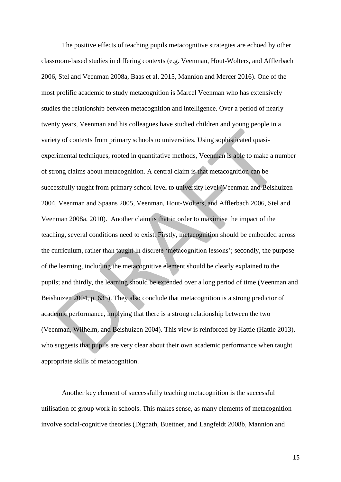The positive effects of teaching pupils metacognitive strategies are echoed by other classroom-based studies in differing contexts (e.g. Veenman, Hout-Wolters, and Afflerbach 2006, Stel and Veenman 2008a, Baas et al. 2015, Mannion and Mercer 2016). One of the most prolific academic to study metacognition is Marcel Veenman who has extensively studies the relationship between metacognition and intelligence. Over a period of nearly twenty years, Veenman and his colleagues have studied children and young people in a variety of contexts from primary schools to universities. Using sophisticated quasiexperimental techniques, rooted in quantitative methods, Veenman is able to make a number of strong claims about metacognition. A central claim is that metacognition can be successfully taught from primary school level to university level (Veenman and Beishuizen 2004, Veenman and Spaans 2005, Veenman, Hout-Wolters, and Afflerbach 2006, Stel and Veenman 2008a, 2010). Another claim is that in order to maximise the impact of the teaching, several conditions need to exist. Firstly, metacognition should be embedded across the curriculum, rather than taught in discrete 'metacognition lessons'; secondly, the purpose of the learning, including the metacognitive element should be clearly explained to the pupils; and thirdly, the learning should be extended over a long period of time (Veenman and Beishuizen 2004, p. 635). They also conclude that metacognition is a strong predictor of academic performance, implying that there is a strong relationship between the two (Veenman, Wilhelm, and Beishuizen 2004). This view is reinforced by Hattie (Hattie 2013), who suggests that pupils are very clear about their own academic performance when taught appropriate skills of metacognition.

Another key element of successfully teaching metacognition is the successful utilisation of group work in schools. This makes sense, as many elements of metacognition involve social-cognitive theories (Dignath, Buettner, and Langfeldt 2008b, Mannion and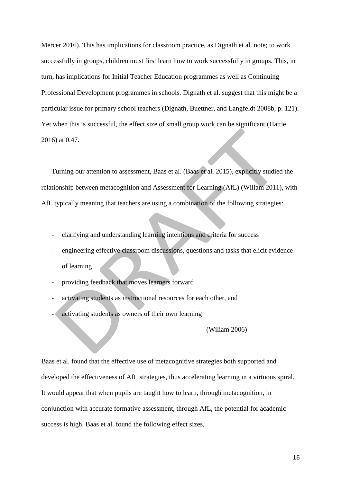Mercer 2016). This has implications for classroom practice, as Dignath et al. note; to work successfully in groups, children must first learn how to work successfully in groups. This, in turn, has implications for Initial Teacher Education programmes as well as Continuing Professional Development programmes in schools. Dignath et al. suggest that this might be a particular issue for primary school teachers (Dignath, Buettner, and Langfeldt 2008b, p. 121). Yet when this is successful, the effect size of small group work can be significant (Hattie 2016) at 0.47.

Turning our attention to assessment, Baas et al. (Baas et al. 2015), explicitly studied the relationship between metacognition and Assessment for Learning (AfL) (Wiliam 2011), with AfL typically meaning that teachers are using a combination of the following strategies:

- clarifying and understanding learning intentions and criteria for success
- engineering effective classroom discussions, questions and tasks that elicit evidence of learning
- providing feedback that moves learners forward
- activating students as instructional resources for each other, and
- activating students as owners of their own learning

(Wiliam 2006)

Baas et al. found that the effective use of metacognitive strategies both supported and developed the effectiveness of AfL strategies, thus accelerating learning in a virtuous spiral. It would appear that when pupils are taught how to learn, through metacognition, in conjunction with accurate formative assessment, through AfL, the potential for academic success is high. Baas et al. found the following effect sizes,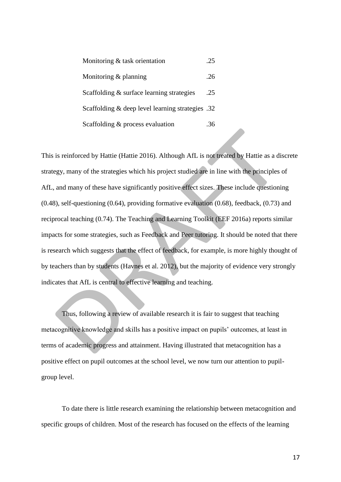| Monitoring & task orientation                    | -25 |
|--------------------------------------------------|-----|
| Monitoring $&$ planning                          | -26 |
| Scaffolding & surface learning strategies        | .25 |
| Scaffolding & deep level learning strategies .32 |     |
| Scaffolding & process evaluation                 | -36 |

This is reinforced by Hattie (Hattie 2016). Although AfL is not treated by Hattie as a discrete strategy, many of the strategies which his project studied are in line with the principles of AfL, and many of these have significantly positive effect sizes. These include questioning (0.48), self-questioning (0.64), providing formative evaluation (0.68), feedback, (0.73) and reciprocal teaching (0.74). The Teaching and Learning Toolkit (EEF 2016a) reports similar impacts for some strategies, such as Feedback and Peer tutoring. It should be noted that there is research which suggests that the effect of feedback, for example, is more highly thought of by teachers than by students (Havnes et al. 2012), but the majority of evidence very strongly indicates that AfL is central to effective learning and teaching.

Thus, following a review of available research it is fair to suggest that teaching metacognitive knowledge and skills has a positive impact on pupils' outcomes, at least in terms of academic progress and attainment. Having illustrated that metacognition has a positive effect on pupil outcomes at the school level, we now turn our attention to pupilgroup level.

To date there is little research examining the relationship between metacognition and specific groups of children. Most of the research has focused on the effects of the learning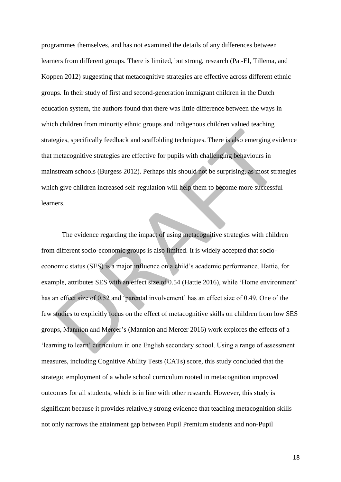programmes themselves, and has not examined the details of any differences between learners from different groups. There is limited, but strong, research (Pat-El, Tillema, and Koppen 2012) suggesting that metacognitive strategies are effective across different ethnic groups. In their study of first and second-generation immigrant children in the Dutch education system, the authors found that there was little difference between the ways in which children from minority ethnic groups and indigenous children valued teaching strategies, specifically feedback and scaffolding techniques. There is also emerging evidence that metacognitive strategies are effective for pupils with challenging behaviours in mainstream schools (Burgess 2012). Perhaps this should not be surprising, as most strategies which give children increased self-regulation will help them to become more successful learners.

The evidence regarding the impact of using metacognitive strategies with children from different socio-economic groups is also limited. It is widely accepted that socioeconomic status (SES) is a major influence on a child's academic performance. Hattie, for example, attributes SES with an effect size of 0.54 (Hattie 2016), while 'Home environment' has an effect size of 0.52 and 'parental involvement' has an effect size of 0.49. One of the few studies to explicitly focus on the effect of metacognitive skills on children from low SES groups, Mannion and Mercer's (Mannion and Mercer 2016) work explores the effects of a 'learning to learn' curriculum in one English secondary school. Using a range of assessment measures, including Cognitive Ability Tests (CATs) score, this study concluded that the strategic employment of a whole school curriculum rooted in metacognition improved outcomes for all students, which is in line with other research. However, this study is significant because it provides relatively strong evidence that teaching metacognition skills not only narrows the attainment gap between Pupil Premium students and non-Pupil

18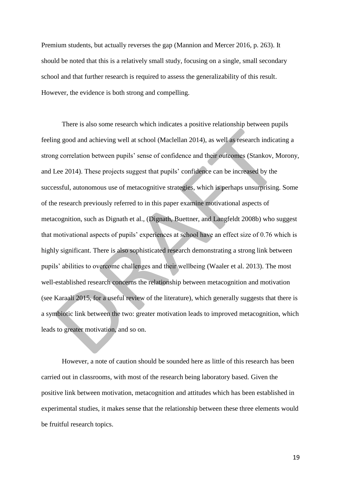Premium students, but actually reverses the gap (Mannion and Mercer 2016, p. 263). It should be noted that this is a relatively small study, focusing on a single, small secondary school and that further research is required to assess the generalizability of this result. However, the evidence is both strong and compelling.

There is also some research which indicates a positive relationship between pupils feeling good and achieving well at school (Maclellan 2014), as well as research indicating a strong correlation between pupils' sense of confidence and their outcomes (Stankov, Morony, and Lee 2014). These projects suggest that pupils' confidence can be increased by the successful, autonomous use of metacognitive strategies, which is perhaps unsurprising. Some of the research previously referred to in this paper examine motivational aspects of metacognition, such as Dignath et al., (Dignath, Buettner, and Langfeldt 2008b) who suggest that motivational aspects of pupils' experiences at school have an effect size of 0.76 which is highly significant. There is also sophisticated research demonstrating a strong link between pupils' abilities to overcome challenges and their wellbeing (Waaler et al. 2013). The most well-established research concerns the relationship between metacognition and motivation (see Karaali 2015, for a useful review of the literature), which generally suggests that there is a symbiotic link between the two: greater motivation leads to improved metacognition, which leads to greater motivation, and so on.

However, a note of caution should be sounded here as little of this research has been carried out in classrooms, with most of the research being laboratory based. Given the positive link between motivation, metacognition and attitudes which has been established in experimental studies, it makes sense that the relationship between these three elements would be fruitful research topics.

19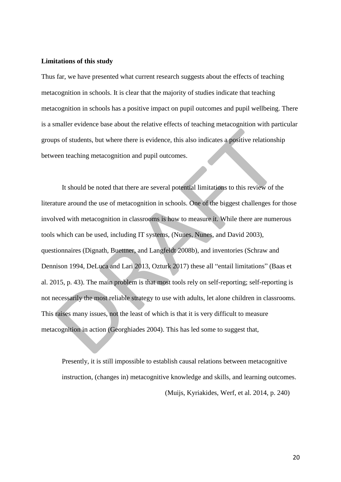#### **Limitations of this study**

Thus far, we have presented what current research suggests about the effects of teaching metacognition in schools. It is clear that the majority of studies indicate that teaching metacognition in schools has a positive impact on pupil outcomes and pupil wellbeing. There is a smaller evidence base about the relative effects of teaching metacognition with particular groups of students, but where there is evidence, this also indicates a positive relationship between teaching metacognition and pupil outcomes.

It should be noted that there are several potential limitations to this review of the literature around the use of metacognition in schools. One of the biggest challenges for those involved with metacognition in classrooms is how to measure it. While there are numerous tools which can be used, including IT systems, (Nunes, Nunes, and David 2003), questionnaires (Dignath, Buettner, and Langfeldt 2008b), and inventories (Schraw and Dennison 1994, DeLuca and Lari 2013, Ozturk 2017) these all "entail limitations" (Baas et al. 2015, p. 43). The main problem is that most tools rely on self-reporting; self-reporting is not necessarily the most reliable strategy to use with adults, let alone children in classrooms. This raises many issues, not the least of which is that it is very difficult to measure metacognition in action (Georghiades 2004). This has led some to suggest that,

Presently, it is still impossible to establish causal relations between metacognitive instruction, (changes in) metacognitive knowledge and skills, and learning outcomes. (Muijs, Kyriakides, Werf, et al. 2014, p. 240)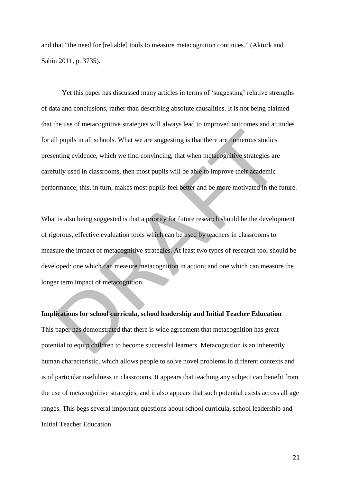and that "the need for [reliable] tools to measure metacognition continues." (Akturk and Sahin 2011, p. 3735).

Yet this paper has discussed many articles in terms of 'suggesting' relative strengths of data and conclusions, rather than describing absolute causalities. It is not being claimed that the use of metacognitive strategies will always lead to improved outcomes and attitudes for all pupils in all schools. What we are suggesting is that there are numerous studies presenting evidence, which we find convincing, that when metacognitive strategies are carefully used in classrooms, then most pupils will be able to improve their academic performance; this, in turn, makes most pupils feel better and be more motivated in the future.

What is also being suggested is that a priority for future research should be the development of rigorous, effective evaluation tools which can be used by teachers in classrooms to measure the impact of metacognitive strategies. At least two types of research tool should be developed: one which can measure metacognition in action; and one which can measure the longer term impact of metacognition.

## **Implications for school curricula, school leadership and Initial Teacher Education**

This paper has demonstrated that there is wide agreement that metacognition has great potential to equip children to become successful learners. Metacognition is an inherently human characteristic, which allows people to solve novel problems in different contexts and is of particular usefulness in classrooms. It appears that teaching any subject can benefit from the use of metacognitive strategies, and it also appears that such potential exists across all age ranges. This begs several important questions about school curricula, school leadership and Initial Teacher Education.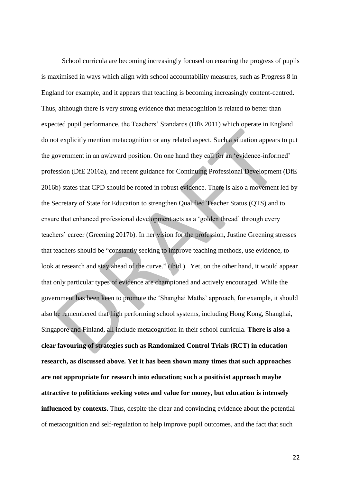School curricula are becoming increasingly focused on ensuring the progress of pupils is maximised in ways which align with school accountability measures, such as Progress 8 in England for example, and it appears that teaching is becoming increasingly content-centred. Thus, although there is very strong evidence that metacognition is related to better than expected pupil performance, the Teachers' Standards (DfE 2011) which operate in England do not explicitly mention metacognition or any related aspect. Such a situation appears to put the government in an awkward position. On one hand they call for an 'evidence-informed' profession (DfE 2016a), and recent guidance for Continuing Professional Development (DfE 2016b) states that CPD should be rooted in robust evidence. There is also a movement led by the Secretary of State for Education to strengthen Qualified Teacher Status (QTS) and to ensure that enhanced professional development acts as a 'golden thread' through every teachers' career (Greening 2017b). In her vision for the profession, Justine Greening stresses that teachers should be "constantly seeking to improve teaching methods, use evidence, to look at research and stay ahead of the curve." (ibid.). Yet, on the other hand, it would appear that only particular types of evidence are championed and actively encouraged. While the government has been keen to promote the 'Shanghai Maths' approach, for example, it should also be remembered that high performing school systems, including Hong Kong, Shanghai, Singapore and Finland, all include metacognition in their school curricula. **There is also a clear favouring of strategies such as Randomized Control Trials (RCT) in education research, as discussed above. Yet it has been shown many times that such approaches are not appropriate for research into education; such a positivist approach maybe attractive to politicians seeking votes and value for money, but education is intensely influenced by contexts.** Thus, despite the clear and convincing evidence about the potential of metacognition and self-regulation to help improve pupil outcomes, and the fact that such

22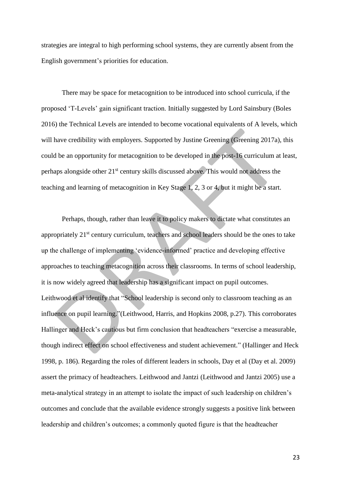strategies are integral to high performing school systems, they are currently absent from the English government's priorities for education.

There may be space for metacognition to be introduced into school curricula, if the proposed 'T-Levels' gain significant traction. Initially suggested by Lord Sainsbury (Boles 2016) the Technical Levels are intended to become vocational equivalents of A levels, which will have credibility with employers. Supported by Justine Greening (Greening 2017a), this could be an opportunity for metacognition to be developed in the post-16 curriculum at least, perhaps alongside other 21st century skills discussed above. This would not address the teaching and learning of metacognition in Key Stage 1, 2, 3 or 4, but it might be a start.

Perhaps, though, rather than leave it to policy makers to dictate what constitutes an appropriately 21<sup>st</sup> century curriculum, teachers and school leaders should be the ones to take up the challenge of implementing 'evidence-informed' practice and developing effective approaches to teaching metacognition across their classrooms. In terms of school leadership, it is now widely agreed that leadership has a significant impact on pupil outcomes. Leithwood et al identify that "School leadership is second only to classroom teaching as an influence on pupil learning."(Leithwood, Harris, and Hopkins 2008, p.27). This corroborates Hallinger and Heck's cautious but firm conclusion that headteachers "exercise a measurable, though indirect effect on school effectiveness and student achievement." (Hallinger and Heck 1998, p. 186). Regarding the roles of different leaders in schools, Day et al (Day et al. 2009) assert the primacy of headteachers. Leithwood and Jantzi (Leithwood and Jantzi 2005) use a meta-analytical strategy in an attempt to isolate the impact of such leadership on children's outcomes and conclude that the available evidence strongly suggests a positive link between leadership and children's outcomes; a commonly quoted figure is that the headteacher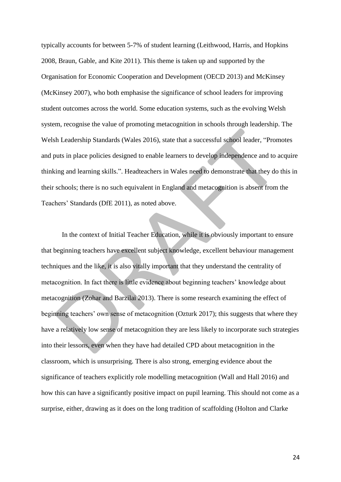typically accounts for between 5-7% of student learning (Leithwood, Harris, and Hopkins 2008, Braun, Gable, and Kite 2011). This theme is taken up and supported by the Organisation for Economic Cooperation and Development (OECD 2013) and McKinsey (McKinsey 2007), who both emphasise the significance of school leaders for improving student outcomes across the world. Some education systems, such as the evolving Welsh system, recognise the value of promoting metacognition in schools through leadership. The Welsh Leadership Standards (Wales 2016), state that a successful school leader, "Promotes and puts in place policies designed to enable learners to develop independence and to acquire thinking and learning skills.". Headteachers in Wales need to demonstrate that they do this in their schools; there is no such equivalent in England and metacognition is absent from the Teachers' Standards (DfE 2011), as noted above.

In the context of Initial Teacher Education, while it is obviously important to ensure that beginning teachers have excellent subject knowledge, excellent behaviour management techniques and the like, it is also vitally important that they understand the centrality of metacognition. In fact there is little evidence about beginning teachers' knowledge about metacognition (Zohar and Barzilai 2013). There is some research examining the effect of beginning teachers' own sense of metacognition (Ozturk 2017); this suggests that where they have a relatively low sense of metacognition they are less likely to incorporate such strategies into their lessons, even when they have had detailed CPD about metacognition in the classroom, which is unsurprising. There is also strong, emerging evidence about the significance of teachers explicitly role modelling metacognition (Wall and Hall 2016) and how this can have a significantly positive impact on pupil learning. This should not come as a surprise, either, drawing as it does on the long tradition of scaffolding (Holton and Clarke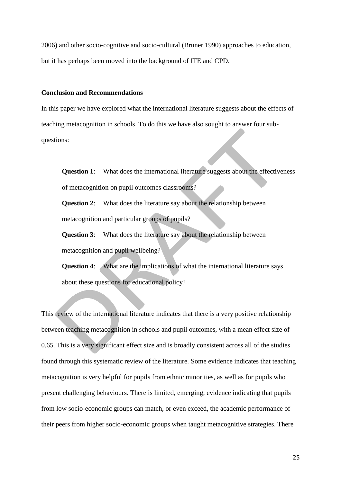2006) and other socio-cognitive and socio-cultural (Bruner 1990) approaches to education, but it has perhaps been moved into the background of ITE and CPD.

## **Conclusion and Recommendations**

In this paper we have explored what the international literature suggests about the effects of teaching metacognition in schools. To do this we have also sought to answer four subquestions:

**Question 1:** What does the international literature suggests about the effectiveness of metacognition on pupil outcomes classrooms?

**Question 2**: What does the literature say about the relationship between metacognition and particular groups of pupils?

**Question 3**: What does the literature say about the relationship between metacognition and pupil wellbeing?

**Question 4:** What are the implications of what the international literature says about these questions for educational policy?

This review of the international literature indicates that there is a very positive relationship between teaching metacognition in schools and pupil outcomes, with a mean effect size of 0.65. This is a very significant effect size and is broadly consistent across all of the studies found through this systematic review of the literature. Some evidence indicates that teaching metacognition is very helpful for pupils from ethnic minorities, as well as for pupils who present challenging behaviours. There is limited, emerging, evidence indicating that pupils from low socio-economic groups can match, or even exceed, the academic performance of their peers from higher socio-economic groups when taught metacognitive strategies. There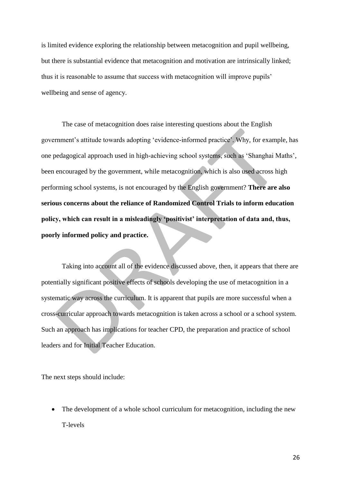is limited evidence exploring the relationship between metacognition and pupil wellbeing, but there is substantial evidence that metacognition and motivation are intrinsically linked; thus it is reasonable to assume that success with metacognition will improve pupils' wellbeing and sense of agency.

The case of metacognition does raise interesting questions about the English government's attitude towards adopting 'evidence-informed practice'. Why, for example, has one pedagogical approach used in high-achieving school systems, such as 'Shanghai Maths', been encouraged by the government, while metacognition, which is also used across high performing school systems, is not encouraged by the English government? **There are also serious concerns about the reliance of Randomized Control Trials to inform education policy, which can result in a misleadingly 'positivist' interpretation of data and, thus, poorly informed policy and practice.**

Taking into account all of the evidence discussed above, then, it appears that there are potentially significant positive effects of schools developing the use of metacognition in a systematic way across the curriculum. It is apparent that pupils are more successful when a cross-curricular approach towards metacognition is taken across a school or a school system. Such an approach has implications for teacher CPD, the preparation and practice of school leaders and for Initial Teacher Education.

The next steps should include:

• The development of a whole school curriculum for metacognition, including the new T-levels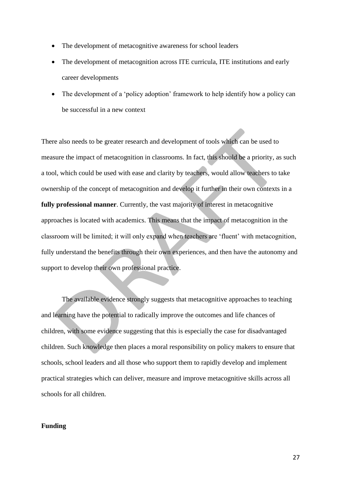- The development of metacognitive awareness for school leaders
- The development of metacognition across ITE curricula, ITE institutions and early career developments
- The development of a 'policy adoption' framework to help identify how a policy can be successful in a new context

There also needs to be greater research and development of tools which can be used to measure the impact of metacognition in classrooms. In fact, this should be a priority, as such a tool, which could be used with ease and clarity by teachers, would allow teachers to take ownership of the concept of metacognition and develop it further in their own contexts in a **fully professional manner**. Currently, the vast majority of interest in metacognitive approaches is located with academics. This means that the impact of metacognition in the classroom will be limited; it will only expand when teachers are 'fluent' with metacognition, fully understand the benefits through their own experiences, and then have the autonomy and support to develop their own professional practice.

The available evidence strongly suggests that metacognitive approaches to teaching and learning have the potential to radically improve the outcomes and life chances of children, with some evidence suggesting that this is especially the case for disadvantaged children. Such knowledge then places a moral responsibility on policy makers to ensure that schools, school leaders and all those who support them to rapidly develop and implement practical strategies which can deliver, measure and improve metacognitive skills across all schools for all children.

## **Funding**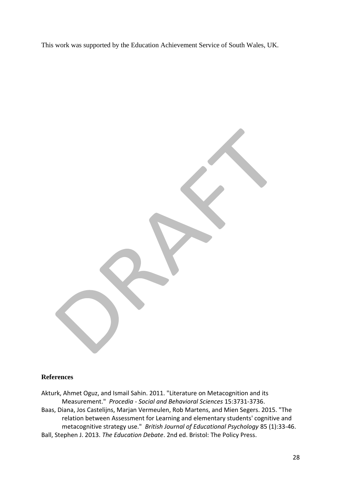This work was supported by the Education Achievement Service of South Wales, UK.

## **References**

Akturk, Ahmet Oguz, and Ismail Sahin. 2011. "Literature on Metacognition and its Measurement." *Procedia - Social and Behavioral Sciences* 15:3731-3736. Baas, Diana, Jos Castelijns, Marjan Vermeulen, Rob Martens, and Mien Segers. 2015. "The relation between Assessment for Learning and elementary students' cognitive and metacognitive strategy use." *British Journal of Educational Psychology* 85 (1):33-46. Ball, Stephen J. 2013. *The Education Debate*. 2nd ed. Bristol: The Policy Press.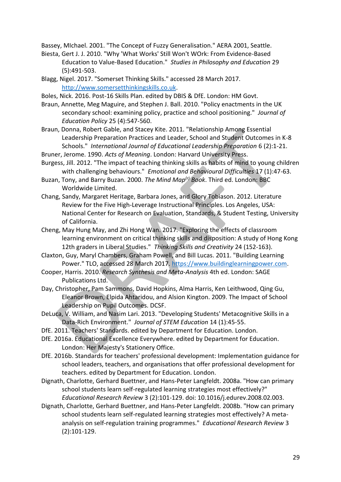Bassey, MIchael. 2001. "The Concept of Fuzzy Generalisation." AERA 2001, Seattle.

- Biesta, Gert J. J. 2010. "Why 'What Works' Still Won't WOrk: From Evidence-Based Education to Value-Based Education." *Studies in Philosophy and Education* 29 (5):491-503.
- Blagg, Nigel. 2017. "Somerset Thinking Skills." accessed 28 March 2017. [http://www.somersetthinkingskills.co.uk.](http://www.somersetthinkingskills.co.uk/)
- Boles, Nick. 2016. Post-16 Skills Plan. edited by DBIS & DfE. London: HM Govt.
- Braun, Annette, Meg Maguire, and Stephen J. Ball. 2010. "Policy enactments in the UK secondary school: examining policy, practice and school positioning." *Journal of Education Policy* 25 (4):547-560.
- Braun, Donna, Robert Gable, and Stacey Kite. 2011. "Relationship Among Essential Leadership Preparation Practices and Leader, School and Student Outcomes in K-8 Schools." *International Journal of Educational Leadership Preparation* 6 (2):1-21.
- Bruner, Jerome. 1990. *Acts of Meaning*. London: Harvard University Press.
- Burgess, Jill. 2012. "The impact of teaching thinking skills as habits of mind to young children with challenging behaviours." *Emotional and Behavioural Difficulties* 17 (1):47-63.
- Buzan, Tony, and Barry Buzan. 2000. *The Mind Map(r) Book*. Third ed. London: BBC Worldwide Limited.
- Chang, Sandy, Margaret Heritage, Barbara Jones, and Glory Tobiason. 2012. Literature Review for the Five High-Leverage Instructional Principles. Los Angeles, USA: National Center for Research on Evaluation, Standards, & Student Testing, University of California.
- Cheng, May Hung May, and Zhi Hong Wan. 2017. "Exploring the effects of classroom learning environment on critical thinking skills and disposition: A study of Hong Kong 12th graders in Liberal Studies." *Thinking Skills and Creativity* 24 (152-163).
- Claxton, Guy, Maryl Chambers, Graham Powell, and Bill Lucas. 2011. "Building Learning Power." TLO, accessed 28 March 2017. [https://www.buildinglearningpower.com.](https://www.buildinglearningpower.com/)
- Cooper, Harris. 2010. *Research Synthesis and Meta-Analysis* 4th ed. London: SAGE Publications Ltd.
- Day, Christopher, Pam Sammons, David Hopkins, Alma Harris, Ken Leithwood, Qing Gu, Eleanor Brown, Elpida Ahtaridou, and Alsion Kington. 2009. The Impact of School Leadership on Pupil Outcomes. DCSF.
- DeLuca, V. William, and Nasim Lari. 2013. "Developing Students' Metacognitive Skills in a Data-Rich Environment." *Journal of STEM Education* 14 (1):45-55.
- DfE. 2011. Teachers' Standards. edited by Department for Education. London.
- DfE. 2016a. Educational Excellence Everywhere. edited by Department for Education. London: Her Majesty's Stationery Office.
- DfE. 2016b. Standards for teachers' professional development: Implementation guidance for school leaders, teachers, and organisations that offer professional development for teachers. edited by Department for Education. London.
- Dignath, Charlotte, Gerhard Buettner, and Hans-Peter Langfeldt. 2008a. "How can primary school students learn self-regulated learning strategies most effectively?" *Educational Research Review* 3 (2):101-129. doi: 10.1016/j.edurev.2008.02.003.
- Dignath, Charlotte, Gerhard Buettner, and Hans-Peter Langfeldt. 2008b. "How can primary school students learn self-regulated learning strategies most effectively? A metaanalysis on self-regulation training programmes." *Educational Research Review* 3 (2):101-129.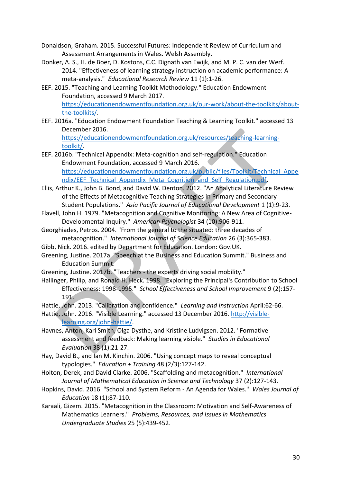- Donaldson, Graham. 2015. Successful Futures: Independent Review of Curriculum and Assessment Arrangements in Wales. Welsh Assembly.
- Donker, A. S., H. de Boer, D. Kostons, C.C. Dignath van Ewijk, and M. P. C. van der Werf. 2014. "Effectiveness of learning strategy instruction on academic performance: A meta-analysis." *Educational Research Review* 11 (1):1-26.
- EEF. 2015. "Teaching and Learning Toolkit Methodology." Education Endowment Foundation, accessed 9 March 2017. [https://educationendowmentfoundation.org.uk/our-work/about-the-toolkits/about](https://educationendowmentfoundation.org.uk/our-work/about-the-toolkits/about-the-toolkits/)[the-toolkits/.](https://educationendowmentfoundation.org.uk/our-work/about-the-toolkits/about-the-toolkits/)
- EEF. 2016a. "Education Endowment Foundation Teaching & Learning Toolkit." accessed 13 December 2016.

[https://educationendowmentfoundation.org.uk/resources/teaching-learning](https://educationendowmentfoundation.org.uk/resources/teaching-learning-toolkit/)[toolkit/.](https://educationendowmentfoundation.org.uk/resources/teaching-learning-toolkit/)

- EEF. 2016b. "Technical Appendix: Meta-cognition and self-regulation." Education Endowment Foundation, accessed 9 March 2016. [https://educationendowmentfoundation.org.uk/public/files/Toolkit/Technical\\_Appe](https://educationendowmentfoundation.org.uk/public/files/Toolkit/Technical_Appendix/EEF_Technical_Appendix_Meta_Cognition_and_Self_Regulation.pdf) [ndix/EEF\\_Technical\\_Appendix\\_Meta\\_Cognition\\_and\\_Self\\_Regulation.pdf.](https://educationendowmentfoundation.org.uk/public/files/Toolkit/Technical_Appendix/EEF_Technical_Appendix_Meta_Cognition_and_Self_Regulation.pdf)
- Ellis, Arthur K., John B. Bond, and David W. Denton. 2012. "An Analytical Literature Review of the Effects of Metacognitive Teaching Strategies in Primary and Secondary Student Populations." *Asia Pacific Journal of Educational Development* 1 (1):9-23.
- Flavell, John H. 1979. "Metacognition and Cognitive Monitoring: A New Area of Cognitive-Developmental Inquiry." *American Psychologist* 34 (10):906-911.
- Georghiades, Petros. 2004. "From the general to the situated: three decades of metacognition." *International Journal of Science Education* 26 (3):365-383.
- Gibb, Nick. 2016. edited by Department for Education. London: Gov.UK.
- Greening, Justine. 2017a. "Speech at the Business and Education Summit." Business and Education Summit.
- Greening, Justine. 2017b. "Teachers the experts driving social mobility."
- Hallinger, Philip, and Ronald H. Heck. 1998. "Exploring the Principal's Contribution to School Effectiveness: 1998-1995." *School Effectiveness and School Improvement* 9 (2):157- 191.

Hattie, John. 2013. "Calibration and confidence." *Learning and Instruction* April:62-66.

- Hattie, John. 2016. "Visible Learning." accessed 13 December 2016. [http://visible](http://visible-learning.org/john-hattie/)[learning.org/john-hattie/.](http://visible-learning.org/john-hattie/)
- Havnes, Anton, Kari Smith, Olga Dysthe, and Kristine Ludvigsen. 2012. "Formative assessment and feedback: Making learning visible." *Studies in Educational Evaluation* 38 (1):21-27.
- Hay, David B., and Ian M. Kinchin. 2006. "Using concept maps to reveal conceptual typologies." *Education + Training* 48 (2/3):127-142.
- Holton, Derek, and David Clarke. 2006. "Scaffolding and metacognition." *International Journal of Mathematical Education in Science and Technology* 37 (2):127-143.
- Hopkins, David. 2016. "School and System Reform An Agenda for Wales." *Wales Journal of Education* 18 (1):87-110.
- Karaali, Gizem. 2015. "Metacognition in the Classroom: Motivation and Self-Awareness of Mathematics Learners." *Problems, Resources, and Issues in Mathematics Undergraduate Studies* 25 (5):439-452.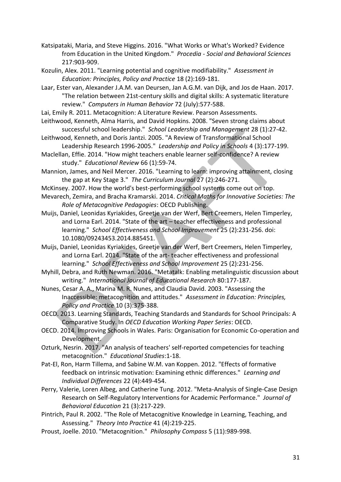- Katsipataki, Maria, and Steve Higgins. 2016. "What Works or What's Worked? Evidence from Education in the United Kingdom." *Procedia - Social and Behavioral Sciences* 217:903-909.
- Kozulin, Alex. 2011. "Learning potential and cognitive modifiability." *Assessment in Education: Principles, Policy and Practice* 18 (2):169-181.
- Laar, Ester van, Alexander J.A.M. van Deursen, Jan A.G.M. van Dijk, and Jos de Haan. 2017. "The relation between 21st-century skills and digital skills: A systematic literature review." *Computers in Human Behavior* 72 (July):577-588.
- Lai, Emily R. 2011. Metacognition: A Literature Review. Pearson Assessments.
- Leithwood, Kenneth, Alma Harris, and David Hopkins. 2008. "Seven strong claims about successful school leadership." *School Leadership and Management* 28 (1):27-42.
- Leithwood, Kenneth, and Doris Jantzi. 2005. "A Review of Transformational School Leadership Research 1996-2005." *Leadership and Policy in Schools* 4 (3):177-199.
- Maclellan, Effie. 2014. "How might teachers enable learner self-confidence? A review study." *Educational Review* 66 (1):59-74.
- Mannion, James, and Neil Mercer. 2016. "Learning to learn: improving attainment, closing the gap at Key Stage 3." *The Curriculum Journal* 27 (2):246-271.
- McKinsey. 2007. How the world's best-performing school systems come out on top.
- Mevarech, Zemira, and Bracha Kramarski. 2014. *Critical Maths for Innovative Societies: The Role of Metacognitive Pedagogies*: OECD Publishing.
- Muijs, Daniel, Leonidas Kyriakides, Greetje van der Werf, Bert Creemers, Helen Timperley, and Lorna Earl. 2014. "State of the art – teacher effectiveness and professional learning." *School Effectiveness and School Improvement* 25 (2):231-256. doi: 10.1080/09243453.2014.885451.
- Muijs, Daniel, Leonidas Kyriakides, Greetje van der Werf, Bert Creemers, Helen Timperley, and Lorna Earl. 2014. "State of the art- teacher effectiveness and professional learning." *School Effectiveness and School Improvement* 25 (2):231-256.
- Myhill, Debra, and Ruth Newman. 2016. "Metatalk: Enabling metalinguistic discussion about writing." *International Journal of Educational Research* 80:177-187.
- Nunes, Cesar A. A., Marina M. R. Nunes, and Claudia David. 2003. "Assessing the Inaccessible: metacognition and attitudes." *Assessment in Education: Principles, Policy and Practice* 10 (3):375-388.
- OECD. 2013. Learning Standards, Teaching Standards and Standards for School Principals: A Comparative Study. In *OECD Education Working Paper Series*: OECD.
- OECD. 2014. Improving Schools in Wales. Paris: Organisation for Economic Co-operation and Development.
- Ozturk, Nesrin. 2017. "An analysis of teachers' self-reported competencies for teaching metacognition." *Educational Studies*:1-18.
- Pat-El, Ron, Harm Tillema, and Sabine W.M. van Koppen. 2012. "Effects of formative feedback on intrinsic motivation: Examining ethnic differences." *Learning and Individual Differences* 22 (4):449-454.
- Perry, Valerie, Loren Albeg, and Catherine Tung. 2012. "Meta-Analysis of Single-Case Design Research on Self-Regulatory Interventions for Academic Performance." *Journal of Behavioral Education* 21 (3):217-229.
- Pintrich, Paul R. 2002. "The Role of Metacognitive Knowledge in Learning, Teaching, and Assessing." *Theory Into Practice* 41 (4):219-225.
- Proust, Joelle. 2010. "Metacognition." *Philosophy Compass* 5 (11):989-998.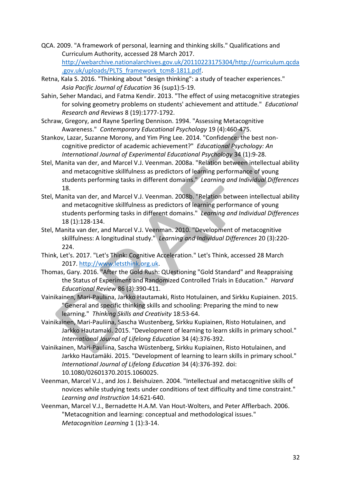- QCA. 2009. "A framework of personal, learning and thinking skills." Qualifications and Curriculum Authority, accessed 28 March 2017. [http://webarchive.nationalarchives.gov.uk/20110223175304/http://curriculum.qcda](http://webarchive.nationalarchives.gov.uk/20110223175304/http:/curriculum.qcda.gov.uk/uploads/PLTS_framework_tcm8-1811.pdf) [.gov.uk/uploads/PLTS\\_framework\\_tcm8-1811.pdf.](http://webarchive.nationalarchives.gov.uk/20110223175304/http:/curriculum.qcda.gov.uk/uploads/PLTS_framework_tcm8-1811.pdf)
- Retna, Kala S. 2016. "Thinking about "design thinking": a study of teacher experiences." *Asia Pacific Journal of Education* 36 (sup1):5-19.
- Sahin, Seher Mandaci, and Fatma Kendir. 2013. "The effect of using metacognitive strategies for solving geometry problems on students' achievement and attitude." *Educational Research and Reviews* 8 (19):1777-1792.
- Schraw, Gregory, and Rayne Sperling Dennison. 1994. "Assessing Metacognitive Awareness." *Contemporary Educational Psychology* 19 (4):460-475.
- Stankov, Lazar, Suzanne Morony, and Yim Ping Lee. 2014. "Confidence: the best noncognitive predictor of academic achievement?" *Educational Psychology: An International Journal of Experimental Educational Psychology* 34 (1):9-28.
- Stel, Manita van der, and Marcel V.J. Veenman. 2008a. "Relation between intellectual ability and metacognitive skillfulness as predictors of learning performance of young students performing tasks in different domains." *Learning and Individual Differences* 18.
- Stel, Manita van der, and Marcel V.J. Veenman. 2008b. "Relation between intellectual ability and metacognitive skillfulness as predictors of learning performance of young students performing tasks in different domains." *Learning and Individual Differences* 18 (1):128-134.
- Stel, Manita van der, and Marcel V.J. Veenman. 2010. "Development of metacognitive skillfulness: A longitudinal study." *Learning and Individual Differences* 20 (3):220- 224.
- Think, Let's. 2017. "Let's Think: Cognitive Acceleration." Let's Think, accessed 28 March 2017. [http://www.letsthink.org.uk.](http://www.letsthink.org.uk/)
- Thomas, Gary. 2016. "After the Gold Rush: QUestioning "Gold Standard" and Reappraising the Status of Experiment and Randomized Controlled Trials in Education." *Harvard Educational Review* 86 (3):390-411.
- Vainikainen, Mari-Pauliina, Jarkko Hautamaki, Risto Hotulainen, and Sirkku Kupiainen. 2015. "General and specific thinking skills and schooling: Preparing the mind to new learning." *Thinking Skills and Creativity* 18:53-64.
- Vainikainen, Mari-Pauliina, Sascha Wustenberg, Sirkku Kupiainen, Risto Hotulainen, and Jarkko Hautamaki. 2015. "Development of learning to learn skills in primary school." *International Journal of Lifelong Education* 34 (4):376-392.
- Vainikainen, Mari-Pauliina, Sascha Wüstenberg, Sirkku Kupiainen, Risto Hotulainen, and Jarkko Hautamäki. 2015. "Development of learning to learn skills in primary school." *International Journal of Lifelong Education* 34 (4):376-392. doi: 10.1080/02601370.2015.1060025.
- Veenman, Marcel V.J., and Jos J. Beishuizen. 2004. "Intellectual and metacognitive skills of novices while studying texts under conditions of text difficulty and time constraint." *Learning and Instruction* 14:621-640.
- Veenman, Marcel V.J., Bernadette H.A.M. Van Hout-Wolters, and Peter Afflerbach. 2006. "Metacognition and learning: conceptual and methodological issues." *Metacognition Learning* 1 (1):3-14.